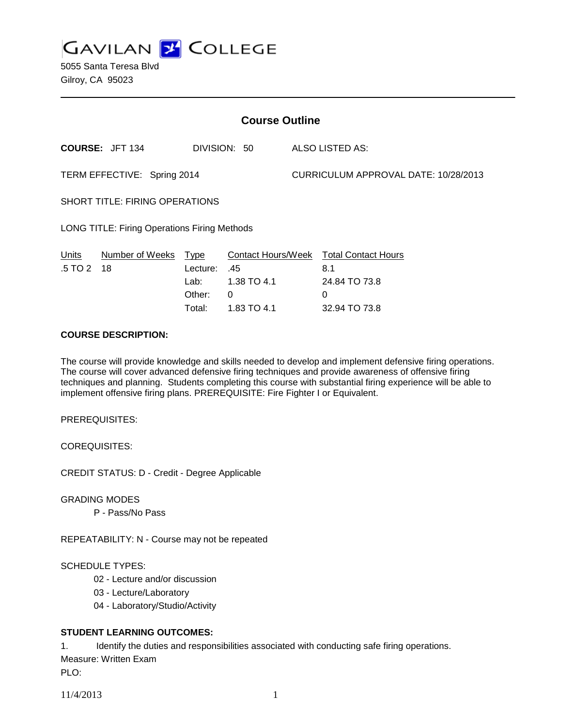**GAVILAN J COLLEGE** 

5055 Santa Teresa Blvd Gilroy, CA 95023

| <b>Course Outline</b>                               |                        |                                                         |                                                                     |                                      |                                                                          |
|-----------------------------------------------------|------------------------|---------------------------------------------------------|---------------------------------------------------------------------|--------------------------------------|--------------------------------------------------------------------------|
|                                                     | <b>COURSE: JFT 134</b> |                                                         | DIVISION: 50                                                        |                                      | ALSO LISTED AS:                                                          |
| TERM EFFECTIVE: Spring 2014                         |                        |                                                         |                                                                     | CURRICULUM APPROVAL DATE: 10/28/2013 |                                                                          |
| <b>SHORT TITLE: FIRING OPERATIONS</b>               |                        |                                                         |                                                                     |                                      |                                                                          |
| <b>LONG TITLE: Firing Operations Firing Methods</b> |                        |                                                         |                                                                     |                                      |                                                                          |
| Units<br>$.5 \, \text{T}$ O 2 18                    | Number of Weeks        | <u>Type</u><br>Lecture:<br>Lab: Lab<br>Other:<br>Total: | <b>Contact Hours/Week</b><br>.45<br>1.38 TO 4.1<br>0<br>1.83 TO 4.1 |                                      | <b>Total Contact Hours</b><br>8.1<br>24.84 TO 73.8<br>0<br>32.94 TO 73.8 |

### **COURSE DESCRIPTION:**

The course will provide knowledge and skills needed to develop and implement defensive firing operations. The course will cover advanced defensive firing techniques and provide awareness of offensive firing techniques and planning. Students completing this course with substantial firing experience will be able to implement offensive firing plans. PREREQUISITE: Fire Fighter I or Equivalent.

PREREQUISITES:

COREQUISITES:

CREDIT STATUS: D - Credit - Degree Applicable

GRADING MODES

P - Pass/No Pass

REPEATABILITY: N - Course may not be repeated

#### SCHEDULE TYPES:

- 02 Lecture and/or discussion
- 03 Lecture/Laboratory
- 04 Laboratory/Studio/Activity

### **STUDENT LEARNING OUTCOMES:**

1. Identify the duties and responsibilities associated with conducting safe firing operations. Measure: Written Exam

PLO: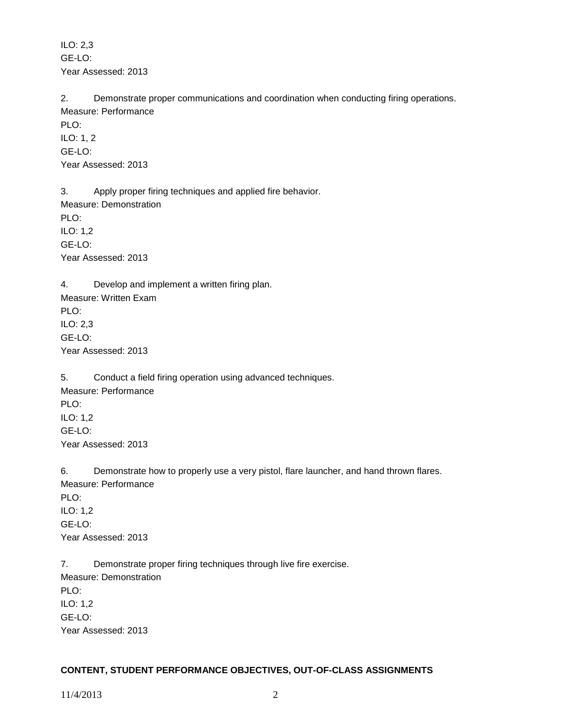ILO: 2,3 GE-LO: Year Assessed: 2013

2. Demonstrate proper communications and coordination when conducting firing operations. Measure: Performance PLO: ILO: 1, 2 GE-LO:

Year Assessed: 2013

3. Apply proper firing techniques and applied fire behavior. Measure: Demonstration PLO: ILO: 1,2 GE-LO: Year Assessed: 2013

4. Develop and implement a written firing plan. Measure: Written Exam PLO: ILO: 2,3 GE-LO: Year Assessed: 2013

5. Conduct a field firing operation using advanced techniques. Measure: Performance PLO: ILO: 1,2 GE-LO: Year Assessed: 2013

6. Demonstrate how to properly use a very pistol, flare launcher, and hand thrown flares. Measure: Performance PLO<sup>.</sup>

ILO: 1,2 GE-LO: Year Assessed: 2013

7. Demonstrate proper firing techniques through live fire exercise. Measure: Demonstration PLO: ILO: 1,2 GE-LO: Year Assessed: 2013

# **CONTENT, STUDENT PERFORMANCE OBJECTIVES, OUT-OF-CLASS ASSIGNMENTS**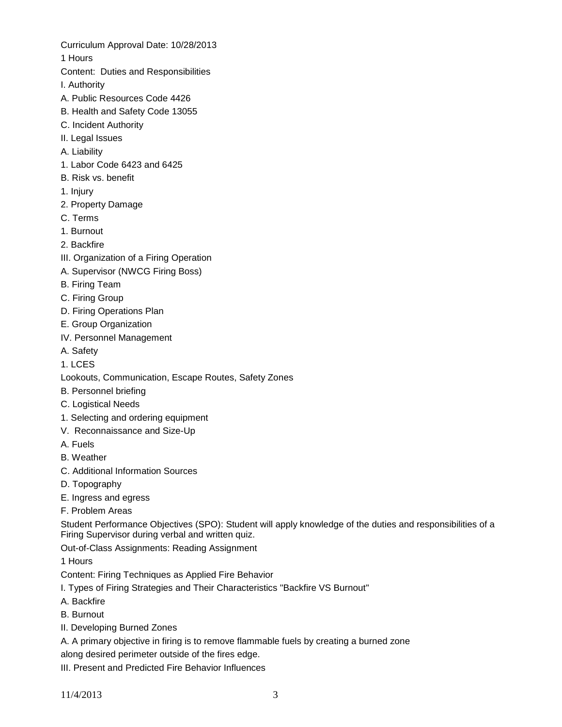Curriculum Approval Date: 10/28/2013

1 Hours

- Content: Duties and Responsibilities
- I. Authority
- A. Public Resources Code 4426
- B. Health and Safety Code 13055
- C. Incident Authority
- II. Legal Issues
- A. Liability
- 1. Labor Code 6423 and 6425
- B. Risk vs. benefit
- 1. Injury
- 2. Property Damage
- C. Terms
- 1. Burnout
- 2. Backfire
- III. Organization of a Firing Operation
- A. Supervisor (NWCG Firing Boss)
- B. Firing Team
- C. Firing Group
- D. Firing Operations Plan
- E. Group Organization
- IV. Personnel Management
- A. Safety
- 1. LCES
- Lookouts, Communication, Escape Routes, Safety Zones
- B. Personnel briefing
- C. Logistical Needs
- 1. Selecting and ordering equipment
- V. Reconnaissance and Size-Up
- A. Fuels
- B. Weather
- C. Additional Information Sources
- D. Topography
- E. Ingress and egress
- F. Problem Areas

Student Performance Objectives (SPO): Student will apply knowledge of the duties and responsibilities of a Firing Supervisor during verbal and written quiz.

Out-of-Class Assignments: Reading Assignment

1 Hours

Content: Firing Techniques as Applied Fire Behavior

- I. Types of Firing Strategies and Their Characteristics "Backfire VS Burnout"
- A. Backfire
- B. Burnout
- II. Developing Burned Zones

A. A primary objective in firing is to remove flammable fuels by creating a burned zone along desired perimeter outside of the fires edge.

III. Present and Predicted Fire Behavior Influences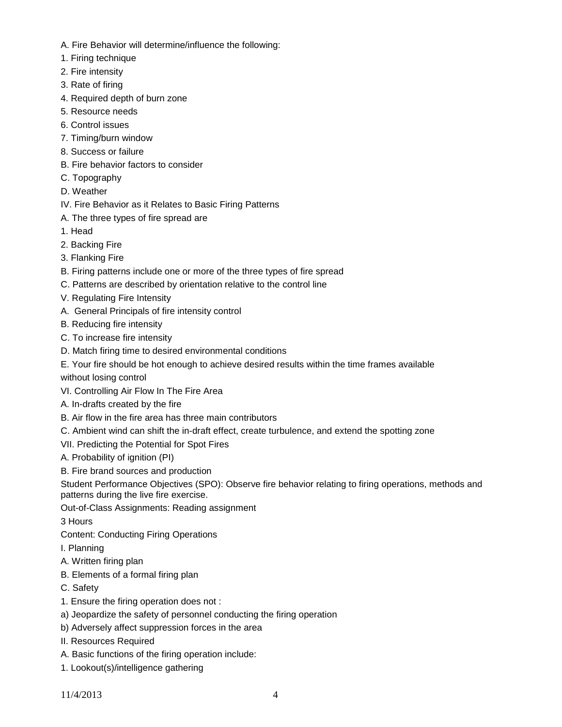- A. Fire Behavior will determine/influence the following:
- 1. Firing technique
- 2. Fire intensity
- 3. Rate of firing
- 4. Required depth of burn zone
- 5. Resource needs
- 6. Control issues
- 7. Timing/burn window
- 8. Success or failure
- B. Fire behavior factors to consider
- C. Topography
- D. Weather
- IV. Fire Behavior as it Relates to Basic Firing Patterns
- A. The three types of fire spread are
- 1. Head
- 2. Backing Fire
- 3. Flanking Fire
- B. Firing patterns include one or more of the three types of fire spread
- C. Patterns are described by orientation relative to the control line
- V. Regulating Fire Intensity
- A. General Principals of fire intensity control
- B. Reducing fire intensity
- C. To increase fire intensity
- D. Match firing time to desired environmental conditions
- E. Your fire should be hot enough to achieve desired results within the time frames available

without losing control

- VI. Controlling Air Flow In The Fire Area
- A. In-drafts created by the fire
- B. Air flow in the fire area has three main contributors
- C. Ambient wind can shift the in-draft effect, create turbulence, and extend the spotting zone
- VII. Predicting the Potential for Spot Fires
- A. Probability of ignition (PI)
- B. Fire brand sources and production

Student Performance Objectives (SPO): Observe fire behavior relating to firing operations, methods and patterns during the live fire exercise.

Out-of-Class Assignments: Reading assignment

3 Hours

Content: Conducting Firing Operations

- I. Planning
- A. Written firing plan
- B. Elements of a formal firing plan
- C. Safety
- 1. Ensure the firing operation does not :
- a) Jeopardize the safety of personnel conducting the firing operation
- b) Adversely affect suppression forces in the area
- II. Resources Required
- A. Basic functions of the firing operation include:
- 1. Lookout(s)/intelligence gathering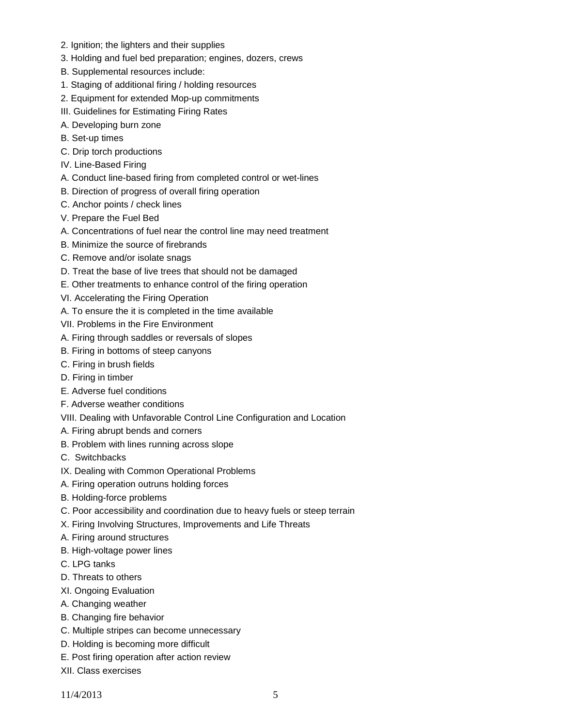- 2. Ignition; the lighters and their supplies
- 3. Holding and fuel bed preparation; engines, dozers, crews
- B. Supplemental resources include:
- 1. Staging of additional firing / holding resources
- 2. Equipment for extended Mop-up commitments
- III. Guidelines for Estimating Firing Rates
- A. Developing burn zone
- B. Set-up times
- C. Drip torch productions
- IV. Line-Based Firing
- A. Conduct line-based firing from completed control or wet-lines
- B. Direction of progress of overall firing operation
- C. Anchor points / check lines
- V. Prepare the Fuel Bed
- A. Concentrations of fuel near the control line may need treatment
- B. Minimize the source of firebrands
- C. Remove and/or isolate snags
- D. Treat the base of live trees that should not be damaged
- E. Other treatments to enhance control of the firing operation
- VI. Accelerating the Firing Operation
- A. To ensure the it is completed in the time available
- VII. Problems in the Fire Environment
- A. Firing through saddles or reversals of slopes
- B. Firing in bottoms of steep canyons
- C. Firing in brush fields
- D. Firing in timber
- E. Adverse fuel conditions
- F. Adverse weather conditions
- VIII. Dealing with Unfavorable Control Line Configuration and Location
- A. Firing abrupt bends and corners
- B. Problem with lines running across slope
- C. Switchbacks
- IX. Dealing with Common Operational Problems
- A. Firing operation outruns holding forces
- B. Holding-force problems
- C. Poor accessibility and coordination due to heavy fuels or steep terrain
- X. Firing Involving Structures, Improvements and Life Threats
- A. Firing around structures
- B. High-voltage power lines
- C. LPG tanks
- D. Threats to others
- XI. Ongoing Evaluation
- A. Changing weather
- B. Changing fire behavior
- C. Multiple stripes can become unnecessary
- D. Holding is becoming more difficult
- E. Post firing operation after action review
- XII. Class exercises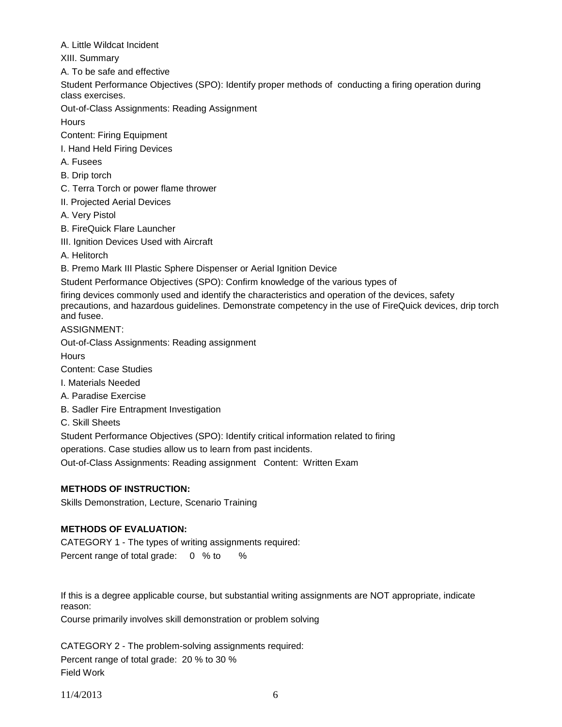A. Little Wildcat Incident

XIII. Summary

A. To be safe and effective

Student Performance Objectives (SPO): Identify proper methods of conducting a firing operation during class exercises.

Out-of-Class Assignments: Reading Assignment

**Hours** 

Content: Firing Equipment

I. Hand Held Firing Devices

A. Fusees

B. Drip torch

C. Terra Torch or power flame thrower

II. Projected Aerial Devices

A. Very Pistol

B. FireQuick Flare Launcher

III. Ignition Devices Used with Aircraft

A. Helitorch

B. Premo Mark III Plastic Sphere Dispenser or Aerial Ignition Device

Student Performance Objectives (SPO): Confirm knowledge of the various types of

firing devices commonly used and identify the characteristics and operation of the devices, safety

precautions, and hazardous guidelines. Demonstrate competency in the use of FireQuick devices, drip torch and fusee.

ASSIGNMENT:

Out-of-Class Assignments: Reading assignment

**Hours** 

Content: Case Studies

I. Materials Needed

A. Paradise Exercise

B. Sadler Fire Entrapment Investigation

C. Skill Sheets

Student Performance Objectives (SPO): Identify critical information related to firing operations. Case studies allow us to learn from past incidents.

Out-of-Class Assignments: Reading assignment Content: Written Exam

# **METHODS OF INSTRUCTION:**

Skills Demonstration, Lecture, Scenario Training

# **METHODS OF EVALUATION:**

CATEGORY 1 - The types of writing assignments required: Percent range of total grade: 0 % to %

If this is a degree applicable course, but substantial writing assignments are NOT appropriate, indicate reason:

Course primarily involves skill demonstration or problem solving

CATEGORY 2 - The problem-solving assignments required: Percent range of total grade: 20 % to 30 % Field Work

11/4/2013 6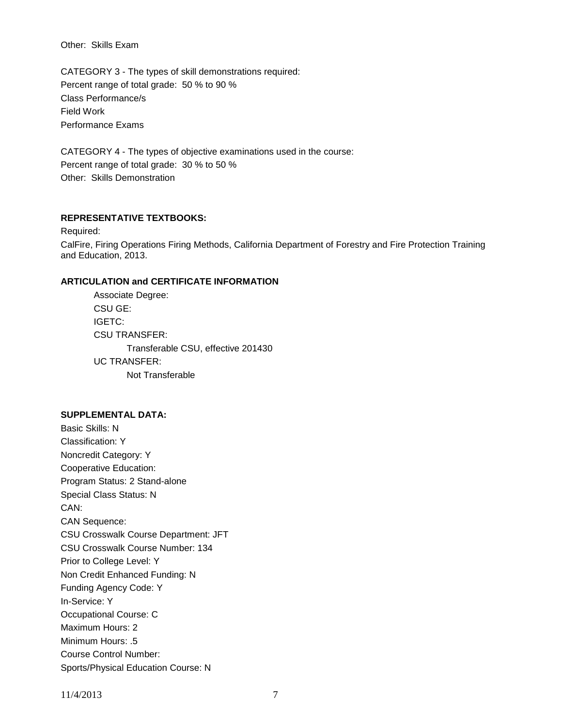Other: Skills Exam

CATEGORY 3 - The types of skill demonstrations required: Percent range of total grade: 50 % to 90 % Class Performance/s Field Work Performance Exams

CATEGORY 4 - The types of objective examinations used in the course: Percent range of total grade: 30 % to 50 % Other: Skills Demonstration

### **REPRESENTATIVE TEXTBOOKS:**

Required: CalFire, Firing Operations Firing Methods, California Department of Forestry and Fire Protection Training and Education, 2013.

### **ARTICULATION and CERTIFICATE INFORMATION**

Associate Degree: CSU GE: IGETC: CSU TRANSFER: Transferable CSU, effective 201430 UC TRANSFER: Not Transferable

#### **SUPPLEMENTAL DATA:**

Basic Skills: N Classification: Y Noncredit Category: Y Cooperative Education: Program Status: 2 Stand-alone Special Class Status: N CAN: CAN Sequence: CSU Crosswalk Course Department: JFT CSU Crosswalk Course Number: 134 Prior to College Level: Y Non Credit Enhanced Funding: N Funding Agency Code: Y In-Service: Y Occupational Course: C Maximum Hours: 2 Minimum Hours: .5 Course Control Number: Sports/Physical Education Course: N

11/4/2013 7